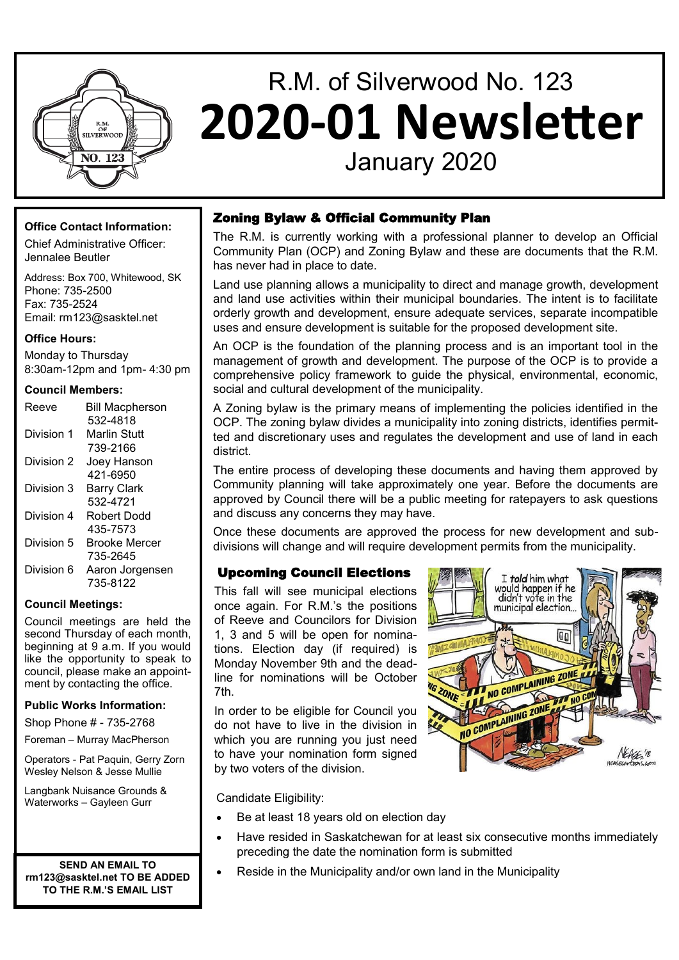

## R.M. of Silverwood No. 123 **2020-01 Newsletter** January 2020

#### **Office Contact Information:**

Chief Administrative Officer: Jennalee Beutler

Address: Box 700, Whitewood, SK Phone: 735-2500 Fax: 735-2524 Email: rm123@sasktel.net

#### **Office Hours:**

Monday to Thursday 8:30am-12pm and 1pm- 4:30 pm

#### **Council Members:**

| <b>Bill Macpherson</b> |
|------------------------|
| 532-4818               |
| Marlin Stuff           |
| 739-2166               |
| Joey Hanson            |
| 421-6950               |
| Barry Clark            |
| 532-4721               |
| Robert Dodd            |
| 435-7573               |
| Brooke Mercer          |
| 735-2645               |
| Aaron Jorgensen        |
| 735-8122               |
|                        |

#### **Council Meetings:**

Council meetings are held the second Thursday of each month, beginning at 9 a.m. If you would like the opportunity to speak to council, please make an appointment by contacting the office.

#### **Public Works Information:**

Shop Phone # - 735-2768

Foreman – Murray MacPherson

Operators - Pat Paquin, Gerry Zorn Wesley Nelson & Jesse Mullie

Langbank Nuisance Grounds & Waterworks – Gayleen Gurr

**SEND AN EMAIL TO rm123@sasktel.net TO BE ADDED TO THE R.M.'S EMAIL LIST**

#### Zoning Bylaw & Official Community Plan

The R.M. is currently working with a professional planner to develop an Official Community Plan (OCP) and Zoning Bylaw and these are documents that the R.M. has never had in place to date.

Land use planning allows a municipality to direct and manage growth, development and land use activities within their municipal boundaries. The intent is to facilitate orderly growth and development, ensure adequate services, separate incompatible uses and ensure development is suitable for the proposed development site.

An OCP is the foundation of the planning process and is an important tool in the management of growth and development. The purpose of the OCP is to provide a comprehensive policy framework to guide the physical, environmental, economic, social and cultural development of the municipality.

A Zoning bylaw is the primary means of implementing the policies identified in the OCP. The zoning bylaw divides a municipality into zoning districts, identifies permitted and discretionary uses and regulates the development and use of land in each district.

The entire process of developing these documents and having them approved by Community planning will take approximately one year. Before the documents are approved by Council there will be a public meeting for ratepayers to ask questions and discuss any concerns they may have.

Once these documents are approved the process for new development and subdivisions will change and will require development permits from the municipality.

#### Upcoming Council Elections

This fall will see municipal elections once again. For R.M.'s the positions of Reeve and Councilors for Division 1, 3 and 5 will be open for nominations. Election day (if required) is Monday November 9th and the deadline for nominations will be October 7th.

In order to be eligible for Council you do not have to live in the division in which you are running you just need to have your nomination form signed by two voters of the division.



Candidate Eligibility:

- Be at least 18 years old on election day
- Have resided in Saskatchewan for at least six consecutive months immediately preceding the date the nomination form is submitted
	- Reside in the Municipality and/or own land in the Municipality